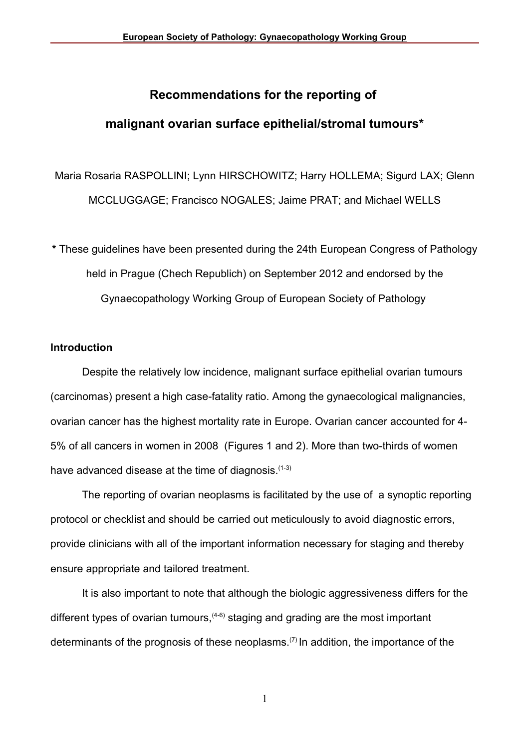# **Recommendations for the reporting of**

## **malignant ovarian surface epithelial/stromal tumours\***

Maria Rosaria RASPOLLINI; Lynn HIRSCHOWITZ; Harry HOLLEMA; Sigurd LAX; Glenn MCCLUGGAGE; Francisco NOGALES; Jaime PRAT; and Michael WELLS

**\*** These guidelines have been presented during the 24th European Congress of Pathology held in Prague (Chech Republich) on September 2012 and endorsed by the Gynaecopathology Working Group of European Society of Pathology

#### **Introduction**

Despite the relatively low incidence, malignant surface epithelial ovarian tumours (carcinomas) present a high case-fatality ratio. Among the gynaecological malignancies, ovarian cancer has the highest mortality rate in Europe. Ovarian cancer accounted for 4- 5% of all cancers in women in 2008 (Figures 1 and 2). More than two-thirds of women have advanced disease at the time of diagnosis.<sup>(1-3)</sup>

The reporting of ovarian neoplasms is facilitated by the use of a synoptic reporting protocol or checklist and should be carried out meticulously to avoid diagnostic errors, provide clinicians with all of the important information necessary for staging and thereby ensure appropriate and tailored treatment.

It is also important to note that although the biologic aggressiveness differs for the different types of ovarian tumours,  $(4-6)$  staging and grading are the most important determinants of the prognosis of these neoplasms.<sup> $(7)$ </sup> In addition, the importance of the

1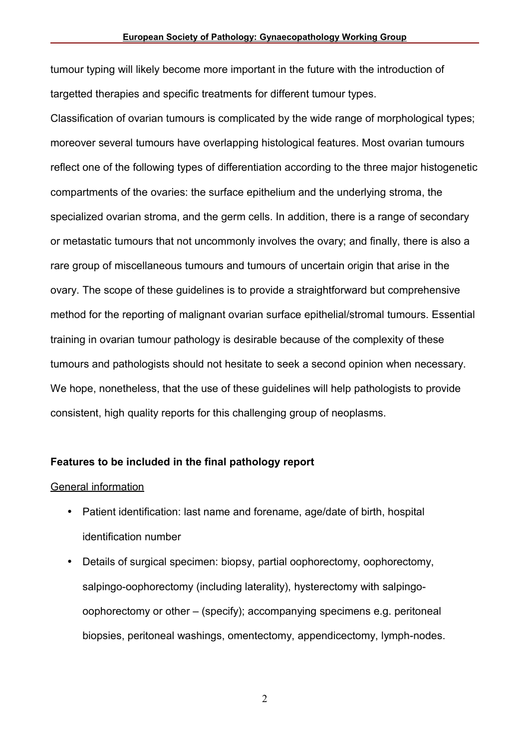tumour typing will likely become more important in the future with the introduction of targetted therapies and specific treatments for different tumour types.

Classification of ovarian tumours is complicated by the wide range of morphological types; moreover several tumours have overlapping histological features. Most ovarian tumours reflect one of the following types of differentiation according to the three major histogenetic compartments of the ovaries: the surface epithelium and the underlying stroma, the specialized ovarian stroma, and the germ cells. In addition, there is a range of secondary or metastatic tumours that not uncommonly involves the ovary; and finally, there is also a rare group of miscellaneous tumours and tumours of uncertain origin that arise in the ovary. The scope of these guidelines is to provide a straightforward but comprehensive method for the reporting of malignant ovarian surface epithelial/stromal tumours. Essential training in ovarian tumour pathology is desirable because of the complexity of these tumours and pathologists should not hesitate to seek a second opinion when necessary. We hope, nonetheless, that the use of these guidelines will help pathologists to provide consistent, high quality reports for this challenging group of neoplasms.

#### **Features to be included in the final pathology report**

#### General information

- Patient identification: last name and forename, age/date of birth, hospital identification number
- Details of surgical specimen: biopsy, partial oophorectomy, oophorectomy, salpingo-oophorectomy (including laterality), hysterectomy with salpingooophorectomy or other – (specify); accompanying specimens e.g. peritoneal biopsies, peritoneal washings, omentectomy, appendicectomy, lymph-nodes.

2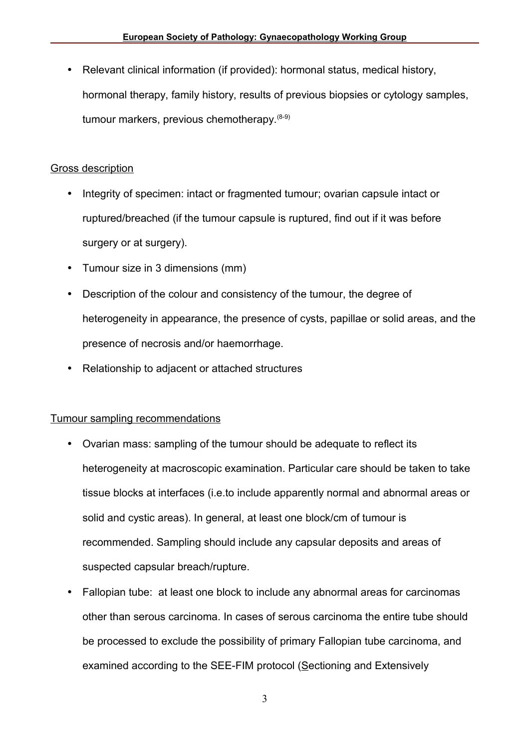• Relevant clinical information (if provided): hormonal status, medical history, hormonal therapy, family history, results of previous biopsies or cytology samples, tumour markers, previous chemotherapy.  $(8-9)$ 

## Gross description

- Integrity of specimen: intact or fragmented tumour; ovarian capsule intact or ruptured/breached (if the tumour capsule is ruptured, find out if it was before surgery or at surgery).
- Tumour size in 3 dimensions (mm)
- Description of the colour and consistency of the tumour, the degree of heterogeneity in appearance, the presence of cysts, papillae or solid areas, and the presence of necrosis and/or haemorrhage.
- Relationship to adjacent or attached structures

## Tumour sampling recommendations

- Ovarian mass: sampling of the tumour should be adequate to reflect its heterogeneity at macroscopic examination. Particular care should be taken to take tissue blocks at interfaces (i.e.to include apparently normal and abnormal areas or solid and cystic areas). In general, at least one block/cm of tumour is recommended. Sampling should include any capsular deposits and areas of suspected capsular breach/rupture.
- Fallopian tube: at least one block to include any abnormal areas for carcinomas other than serous carcinoma. In cases of serous carcinoma the entire tube should be processed to exclude the possibility of primary Fallopian tube carcinoma, and examined according to the SEE-FIM protocol (Sectioning and Extensively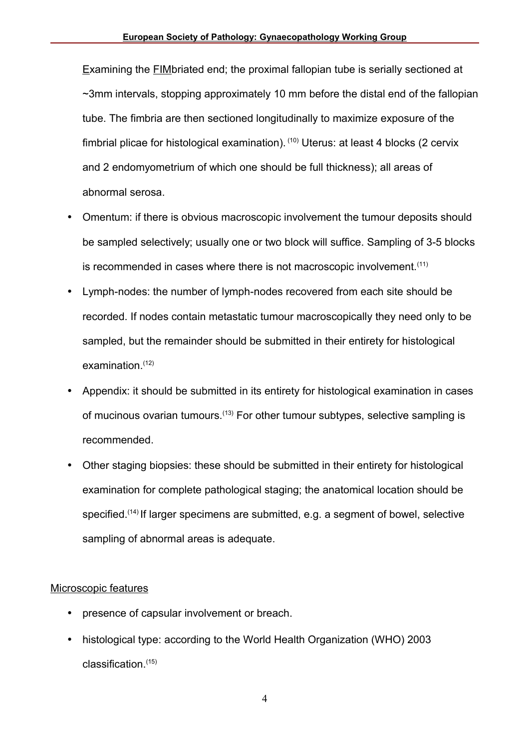Examining the FIMbriated end; the proximal fallopian tube is serially sectioned at  $\sim$ 3mm intervals, stopping approximately 10 mm before the distal end of the fallopian tube. The fimbria are then sectioned longitudinally to maximize exposure of the fimbrial plicae for histological examination). (10) Uterus: at least 4 blocks (2 cervix and 2 endomyometrium of which one should be full thickness); all areas of abnormal serosa.

- Omentum: if there is obvious macroscopic involvement the tumour deposits should be sampled selectively; usually one or two block will suffice. Sampling of 3-5 blocks is recommended in cases where there is not macroscopic involvement.<sup>(11)</sup>
- Lymph-nodes: the number of lymph-nodes recovered from each site should be recorded. If nodes contain metastatic tumour macroscopically they need only to be sampled, but the remainder should be submitted in their entirety for histological examination. $(12)$
- Appendix: it should be submitted in its entirety for histological examination in cases of mucinous ovarian tumours.<sup>(13)</sup> For other tumour subtypes, selective sampling is recommended.
- Other staging biopsies: these should be submitted in their entirety for histological examination for complete pathological staging; the anatomical location should be specified.(14) If larger specimens are submitted, e.g. a segment of bowel, selective sampling of abnormal areas is adequate.

## Microscopic features

- presence of capsular involvement or breach.
- histological type: according to the World Health Organization (WHO) 2003  $classification<sup>(15)</sup>$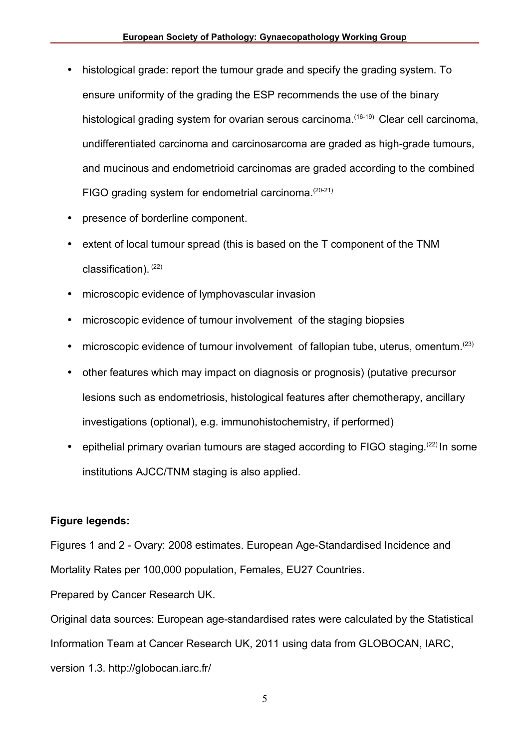- histological grade: report the tumour grade and specify the grading system. To ensure uniformity of the grading the ESP recommends the use of the binary histological grading system for ovarian serous carcinoma.<sup>(16-19)</sup> Clear cell carcinoma, undifferentiated carcinoma and carcinosarcoma are graded as high-grade tumours, and mucinous and endometrioid carcinomas are graded according to the combined FIGO grading system for endometrial carcinoma.<sup>(20-21)</sup>
- presence of borderline component.
- extent of local tumour spread (this is based on the T component of the TNM  $classification)$ .  $(22)$
- microscopic evidence of lymphovascular invasion
- microscopic evidence of tumour involvement of the staging biopsies
- microscopic evidence of tumour involvement of fallopian tube, uterus, omentum.<sup>(23)</sup>
- other features which may impact on diagnosis or prognosis) (putative precursor lesions such as endometriosis, histological features after chemotherapy, ancillary investigations (optional), e.g. immunohistochemistry, if performed)
- epithelial primary ovarian tumours are staged according to FIGO staging.<sup>(22)</sup> In some institutions AJCC/TNM staging is also applied.

### **Figure legends:**

Figures 1 and 2 - Ovary: 2008 estimates. European Age-Standardised Incidence and Mortality Rates per 100,000 population, Females, EU27 Countries.

Prepared by Cancer Research UK.

Original data sources: European age-standardised rates were calculated by the Statistical Information Team at Cancer Research UK, 2011 using data from GLOBOCAN, IARC, version 1.3. http://globocan.iarc.fr/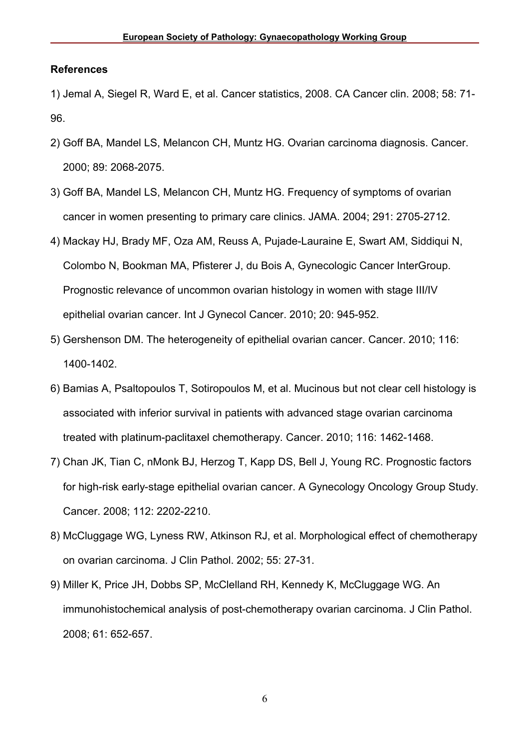#### **References**

1) Jemal A, Siegel R, Ward E, et al. Cancer statistics, 2008. CA Cancer clin. 2008; 58: 71- 96.

- 2) Goff BA, Mandel LS, Melancon CH, Muntz HG. Ovarian carcinoma diagnosis. Cancer. 2000; 89: 2068-2075.
- 3) Goff BA, Mandel LS, Melancon CH, Muntz HG. Frequency of symptoms of ovarian cancer in women presenting to primary care clinics. JAMA. 2004; 291: 2705-2712.
- 4) Mackay HJ, Brady MF, Oza AM, Reuss A, Pujade-Lauraine E, Swart AM, Siddiqui N, Colombo N, Bookman MA, Pfisterer J, du Bois A, Gynecologic Cancer InterGroup. Prognostic relevance of uncommon ovarian histology in women with stage III/IV epithelial ovarian cancer. Int J Gynecol Cancer. 2010; 20: 945-952.
- 5) Gershenson DM. The heterogeneity of epithelial ovarian cancer. Cancer. 2010; 116: 1400-1402.
- 6) Bamias A, Psaltopoulos T, Sotiropoulos M, et al. Mucinous but not clear cell histology is associated with inferior survival in patients with advanced stage ovarian carcinoma treated with platinum-paclitaxel chemotherapy. Cancer. 2010; 116: 1462-1468.
- 7) Chan JK, Tian C, nMonk BJ, Herzog T, Kapp DS, Bell J, Young RC. Prognostic factors for high-risk early-stage epithelial ovarian cancer. A Gynecology Oncology Group Study. Cancer. 2008; 112: 2202-2210.
- 8) McCluggage WG, Lyness RW, Atkinson RJ, et al. Morphological effect of chemotherapy on ovarian carcinoma. J Clin Pathol. 2002; 55: 27-31.
- 9) Miller K, Price JH, Dobbs SP, McClelland RH, Kennedy K, McCluggage WG. An immunohistochemical analysis of post-chemotherapy ovarian carcinoma. J Clin Pathol. 2008; 61: 652-657.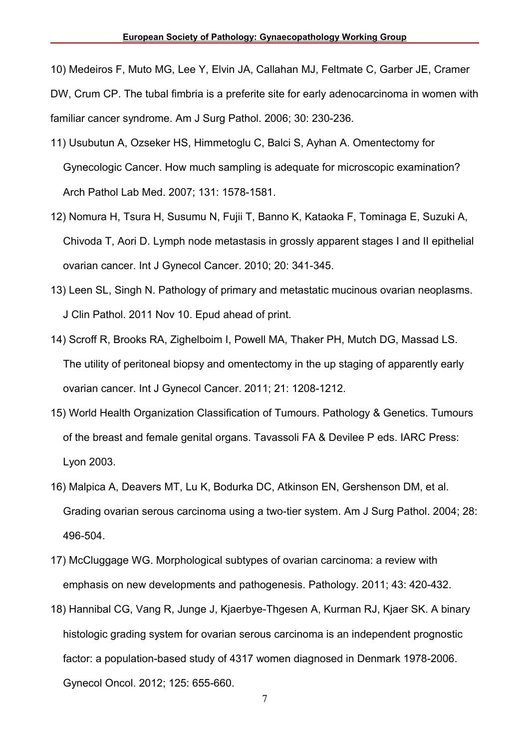10) Medeiros F, Muto MG, Lee Y, Elvin JA, Callahan MJ, Feltmate C, Garber JE, Cramer

DW, Crum CP. The tubal fimbria is a preferite site for early adenocarcinoma in women with familiar cancer syndrome. Am J Surg Pathol. 2006; 30: 230-236.

- 11) Usubutun A, Ozseker HS, Himmetoglu C, Balci S, Ayhan A. Omentectomy for Gynecologic Cancer. How much sampling is adequate for microscopic examination? Arch Pathol Lab Med. 2007; 131: 1578-1581.
- 12) Nomura H, Tsura H, Susumu N, Fujii T, Banno K, Kataoka F, Tominaga E, Suzuki A, Chivoda T, Aori D. Lymph node metastasis in grossly apparent stages I and II epithelial ovarian cancer. Int J Gynecol Cancer. 2010; 20: 341-345.
- 13) Leen SL, Singh N. Pathology of primary and metastatic mucinous ovarian neoplasms. J Clin Pathol. 2011 Nov 10. Epud ahead of print.
- 14) Scroff R, Brooks RA, Zighelboim I, Powell MA, Thaker PH, Mutch DG, Massad LS. The utility of peritoneal biopsy and omentectomy in the up staging of apparently early ovarian cancer. Int J Gynecol Cancer. 2011; 21: 1208-1212.
- 15) World Health Organization Classification of Tumours. Pathology & Genetics. Tumours of the breast and female genital organs. Tavassoli FA & Devilee P eds. IARC Press: Lyon 2003.
- 16) Malpica A, Deavers MT, Lu K, Bodurka DC, Atkinson EN, Gershenson DM, et al. Grading ovarian serous carcinoma using a two-tier system. Am J Surg Pathol. 2004; 28: 496-504.
- 17) McCluggage WG. Morphological subtypes of ovarian carcinoma: a review with emphasis on new developments and pathogenesis. Pathology. 2011; 43: 420-432.
- 18) Hannibal CG, Vang R, Junge J, Kjaerbye-Thgesen A, Kurman RJ, Kjaer SK. A binary histologic grading system for ovarian serous carcinoma is an independent prognostic factor: a population-based study of 4317 women diagnosed in Denmark 1978-2006. Gynecol Oncol. 2012; 125: 655-660.